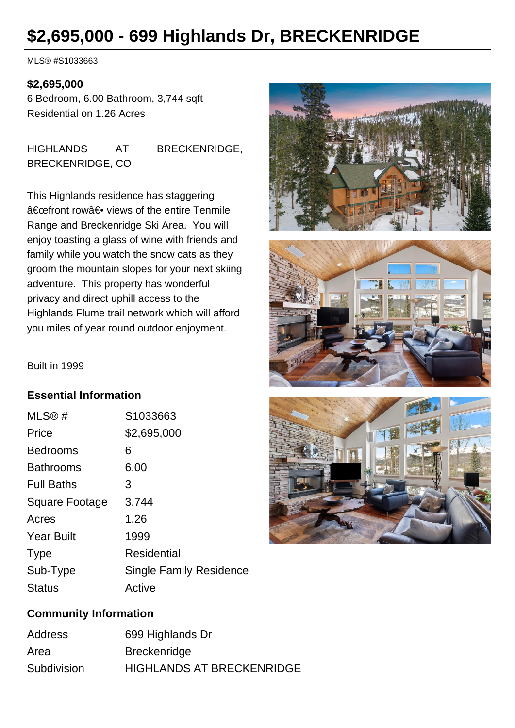# **\$2,695,000 - 699 Highlands Dr, BRECKENRIDGE**

MLS® #S1033663

#### **\$2,695,000**

6 Bedroom, 6.00 Bathroom, 3,744 sqft Residential on 1.26 Acres

HIGHLANDS AT BRECKENRIDGE, BRECKENRIDGE, CO

This Highlands residence has staggering "front row― views of the entire Tenmile Range and Breckenridge Ski Area. You will enjoy toasting a glass of wine with friends and family while you watch the snow cats as they groom the mountain slopes for your next skiing adventure. This property has wonderful privacy and direct uphill access to the Highlands Flume trail network which will afford you miles of year round outdoor enjoyment.





Built in 1999

### **Essential Information**

| MLS@#                 | S1033663                       |
|-----------------------|--------------------------------|
| Price                 | \$2,695,000                    |
| <b>Bedrooms</b>       | 6                              |
| <b>Bathrooms</b>      | 6.00                           |
| <b>Full Baths</b>     | 3                              |
| <b>Square Footage</b> | 3,744                          |
| Acres                 | 1.26                           |
| <b>Year Built</b>     | 1999                           |
| <b>Type</b>           | Residential                    |
| Sub-Type              | <b>Single Family Residence</b> |
| <b>Status</b>         | Active                         |



### **Community Information**

| Address     | 699 Highlands Dr                 |
|-------------|----------------------------------|
| Area        | <b>Breckenridge</b>              |
| Subdivision | <b>HIGHLANDS AT BRECKENRIDGE</b> |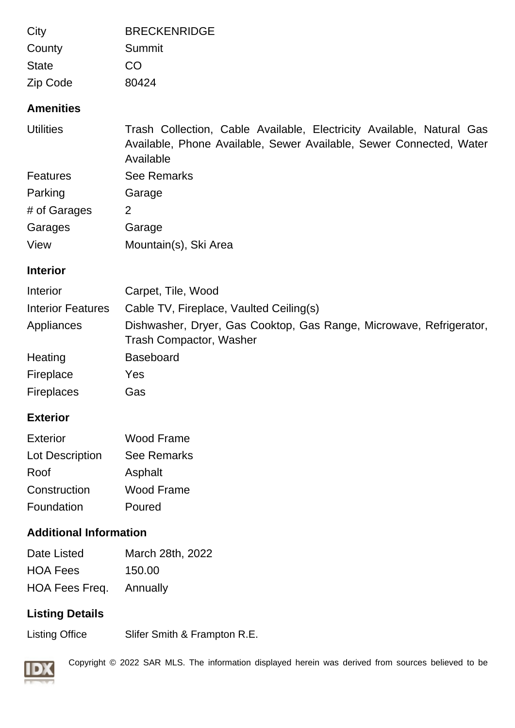| City                          | <b>BRECKENRIDGE</b>                                                                                                                                       |
|-------------------------------|-----------------------------------------------------------------------------------------------------------------------------------------------------------|
| County                        | Summit                                                                                                                                                    |
| <b>State</b>                  | CO                                                                                                                                                        |
| Zip Code                      | 80424                                                                                                                                                     |
| <b>Amenities</b>              |                                                                                                                                                           |
| <b>Utilities</b>              | Trash Collection, Cable Available, Electricity Available, Natural Gas<br>Available, Phone Available, Sewer Available, Sewer Connected, Water<br>Available |
| <b>Features</b>               | <b>See Remarks</b>                                                                                                                                        |
| Parking                       | Garage                                                                                                                                                    |
| # of Garages                  | $\overline{2}$                                                                                                                                            |
| Garages                       | Garage                                                                                                                                                    |
| View                          | Mountain(s), Ski Area                                                                                                                                     |
| <b>Interior</b>               |                                                                                                                                                           |
| Interior                      | Carpet, Tile, Wood                                                                                                                                        |
| <b>Interior Features</b>      | Cable TV, Fireplace, Vaulted Ceiling(s)                                                                                                                   |
| Appliances                    | Dishwasher, Dryer, Gas Cooktop, Gas Range, Microwave, Refrigerator,<br><b>Trash Compactor, Washer</b>                                                     |
| Heating                       | <b>Baseboard</b>                                                                                                                                          |
| Fireplace                     | Yes                                                                                                                                                       |
| <b>Fireplaces</b>             | Gas                                                                                                                                                       |
| <b>Exterior</b>               |                                                                                                                                                           |
| <b>Exterior</b>               | <b>Wood Frame</b>                                                                                                                                         |
| Lot Description               | <b>See Remarks</b>                                                                                                                                        |
| Roof                          | Asphalt                                                                                                                                                   |
| Construction                  | <b>Wood Frame</b>                                                                                                                                         |
| Foundation                    | Poured                                                                                                                                                    |
| <b>Additional Information</b> |                                                                                                                                                           |
| Date Listed                   | March 28th, 2022                                                                                                                                          |
| <b>HOA Fees</b>               | 150.00                                                                                                                                                    |
| HOA Fees Freq.                | Annually                                                                                                                                                  |

## **Listing Details**

Listing Office Slifer Smith & Frampton R.E.



Copyright © 2022 SAR MLS. The information displayed herein was derived from sources believed to be